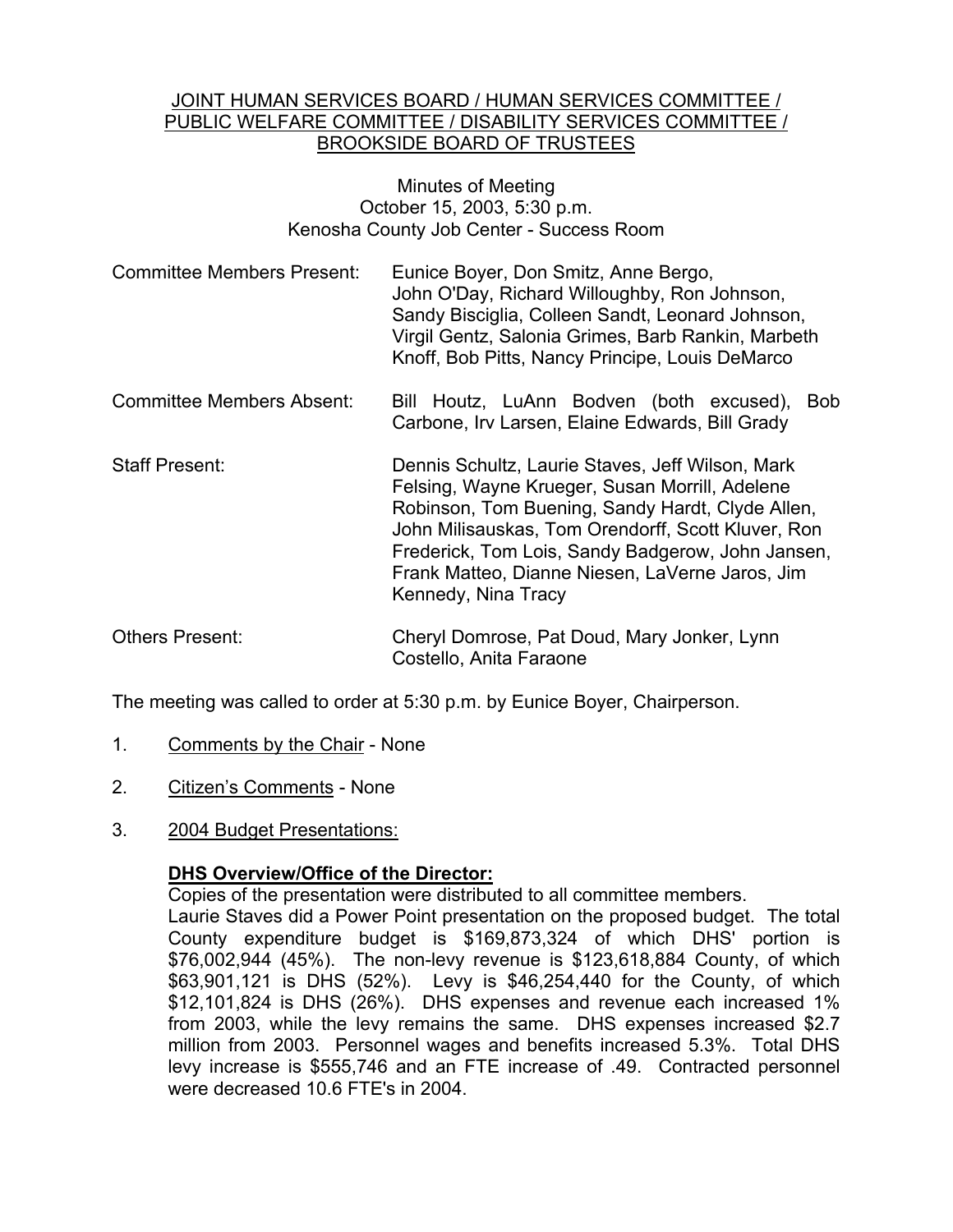#### JOINT HUMAN SERVICES BOARD / HUMAN SERVICES COMMITTEE / PUBLIC WELFARE COMMITTEE / DISABILITY SERVICES COMMITTEE / BROOKSIDE BOARD OF TRUSTEES

## Minutes of Meeting October 15, 2003, 5:30 p.m. Kenosha County Job Center - Success Room

- Committee Members Present: Eunice Boyer, Don Smitz, Anne Bergo, John O'Day, Richard Willoughby, Ron Johnson, Sandy Bisciglia, Colleen Sandt, Leonard Johnson, Virgil Gentz, Salonia Grimes, Barb Rankin, Marbeth Knoff, Bob Pitts, Nancy Principe, Louis DeMarco
- Committee Members Absent: Bill Houtz, LuAnn Bodven (both excused), Bob Carbone, Irv Larsen, Elaine Edwards, Bill Grady
- Staff Present: Dennis Schultz, Laurie Staves, Jeff Wilson, Mark Felsing, Wayne Krueger, Susan Morrill, Adelene Robinson, Tom Buening, Sandy Hardt, Clyde Allen, John Milisauskas, Tom Orendorff, Scott Kluver, Ron Frederick, Tom Lois, Sandy Badgerow, John Jansen, Frank Matteo, Dianne Niesen, LaVerne Jaros, Jim Kennedy, Nina Tracy
- Others Present: Cheryl Domrose, Pat Doud, Mary Jonker, Lynn Costello, Anita Faraone

The meeting was called to order at 5:30 p.m. by Eunice Boyer, Chairperson.

- 1. Comments by the Chair None
- 2. Citizen's Comments None
- 3. 2004 Budget Presentations:

# **DHS Overview/Office of the Director:**

Copies of the presentation were distributed to all committee members.

Laurie Staves did a Power Point presentation on the proposed budget. The total County expenditure budget is \$169,873,324 of which DHS' portion is \$76,002,944 (45%). The non-levy revenue is \$123,618,884 County, of which \$63,901,121 is DHS (52%). Levy is \$46,254,440 for the County, of which \$12,101,824 is DHS (26%). DHS expenses and revenue each increased 1% from 2003, while the levy remains the same. DHS expenses increased \$2.7 million from 2003. Personnel wages and benefits increased 5.3%. Total DHS levy increase is \$555,746 and an FTE increase of .49. Contracted personnel were decreased 10.6 FTE's in 2004.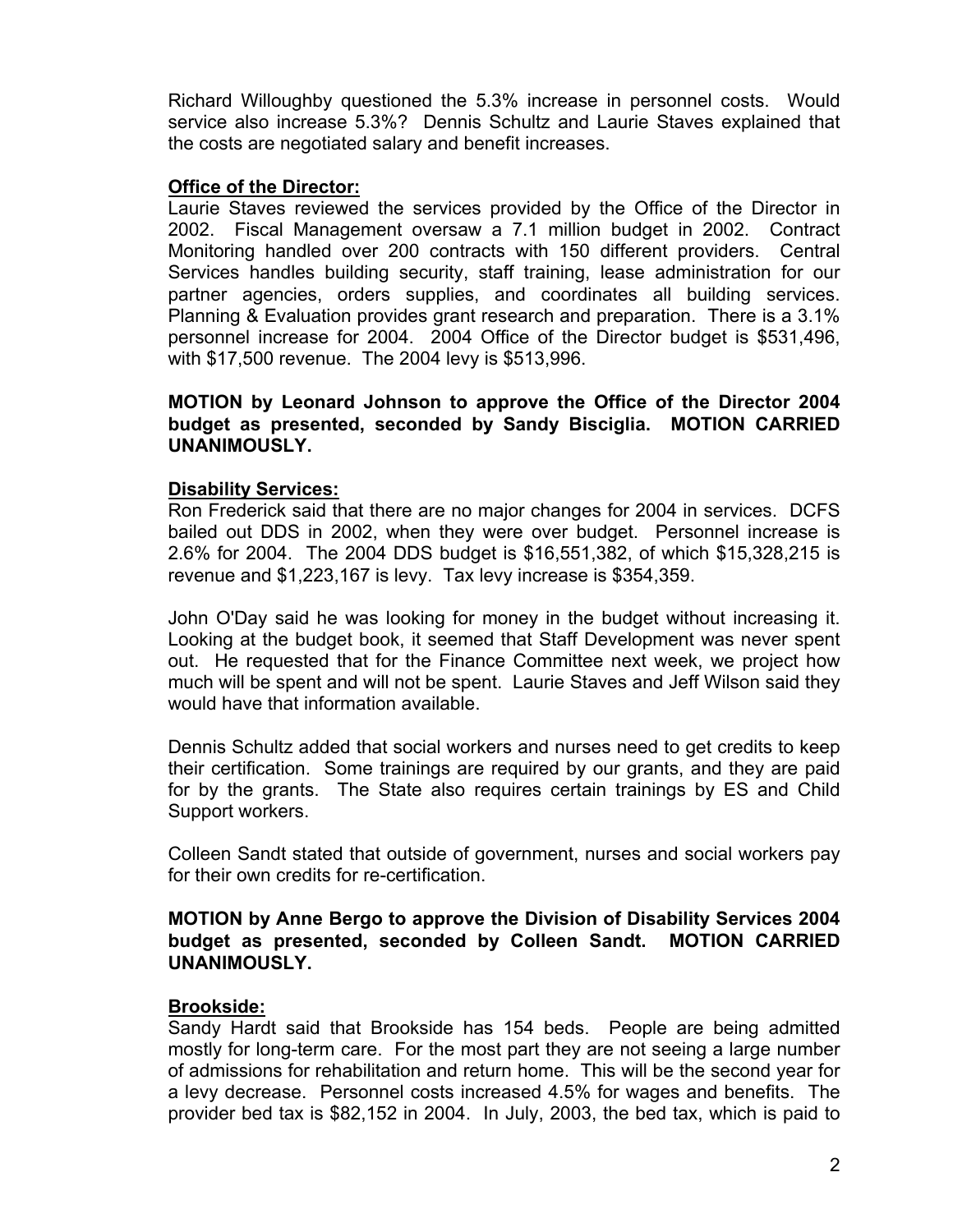Richard Willoughby questioned the 5.3% increase in personnel costs. Would service also increase 5.3%? Dennis Schultz and Laurie Staves explained that the costs are negotiated salary and benefit increases.

## **Office of the Director:**

Laurie Staves reviewed the services provided by the Office of the Director in 2002. Fiscal Management oversaw a 7.1 million budget in 2002. Contract Monitoring handled over 200 contracts with 150 different providers. Central Services handles building security, staff training, lease administration for our partner agencies, orders supplies, and coordinates all building services. Planning & Evaluation provides grant research and preparation. There is a 3.1% personnel increase for 2004. 2004 Office of the Director budget is \$531,496, with \$17,500 revenue. The 2004 levy is \$513,996.

# **MOTION by Leonard Johnson to approve the Office of the Director 2004 budget as presented, seconded by Sandy Bisciglia. MOTION CARRIED UNANIMOUSLY.**

### **Disability Services:**

Ron Frederick said that there are no major changes for 2004 in services. DCFS bailed out DDS in 2002, when they were over budget. Personnel increase is 2.6% for 2004. The 2004 DDS budget is \$16,551,382, of which \$15,328,215 is revenue and \$1,223,167 is levy. Tax levy increase is \$354,359.

John O'Day said he was looking for money in the budget without increasing it. Looking at the budget book, it seemed that Staff Development was never spent out. He requested that for the Finance Committee next week, we project how much will be spent and will not be spent. Laurie Staves and Jeff Wilson said they would have that information available.

Dennis Schultz added that social workers and nurses need to get credits to keep their certification. Some trainings are required by our grants, and they are paid for by the grants. The State also requires certain trainings by ES and Child Support workers.

Colleen Sandt stated that outside of government, nurses and social workers pay for their own credits for re-certification.

## **MOTION by Anne Bergo to approve the Division of Disability Services 2004 budget as presented, seconded by Colleen Sandt. MOTION CARRIED UNANIMOUSLY.**

# **Brookside:**

Sandy Hardt said that Brookside has 154 beds. People are being admitted mostly for long-term care. For the most part they are not seeing a large number of admissions for rehabilitation and return home. This will be the second year for a levy decrease. Personnel costs increased 4.5% for wages and benefits. The provider bed tax is \$82,152 in 2004. In July, 2003, the bed tax, which is paid to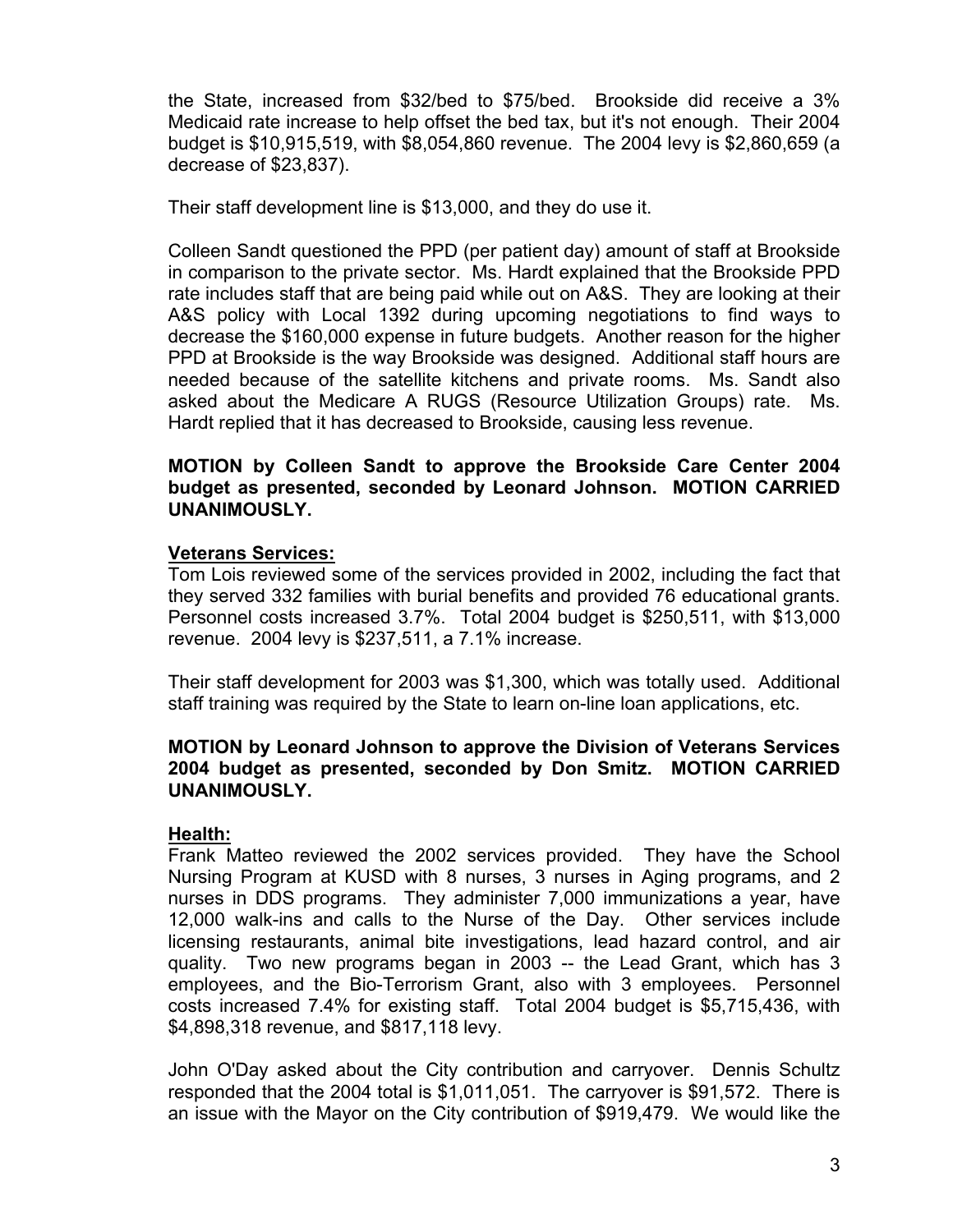the State, increased from \$32/bed to \$75/bed. Brookside did receive a 3% Medicaid rate increase to help offset the bed tax, but it's not enough. Their 2004 budget is \$10,915,519, with \$8,054,860 revenue. The 2004 levy is \$2,860,659 (a decrease of \$23,837).

Their staff development line is \$13,000, and they do use it.

Colleen Sandt questioned the PPD (per patient day) amount of staff at Brookside in comparison to the private sector. Ms. Hardt explained that the Brookside PPD rate includes staff that are being paid while out on A&S. They are looking at their A&S policy with Local 1392 during upcoming negotiations to find ways to decrease the \$160,000 expense in future budgets. Another reason for the higher PPD at Brookside is the way Brookside was designed. Additional staff hours are needed because of the satellite kitchens and private rooms. Ms. Sandt also asked about the Medicare A RUGS (Resource Utilization Groups) rate. Ms. Hardt replied that it has decreased to Brookside, causing less revenue.

# **MOTION by Colleen Sandt to approve the Brookside Care Center 2004 budget as presented, seconded by Leonard Johnson. MOTION CARRIED UNANIMOUSLY.**

# **Veterans Services:**

Tom Lois reviewed some of the services provided in 2002, including the fact that they served 332 families with burial benefits and provided 76 educational grants. Personnel costs increased 3.7%. Total 2004 budget is \$250,511, with \$13,000 revenue. 2004 levy is \$237,511, a 7.1% increase.

Their staff development for 2003 was \$1,300, which was totally used. Additional staff training was required by the State to learn on-line loan applications, etc.

# **MOTION by Leonard Johnson to approve the Division of Veterans Services 2004 budget as presented, seconded by Don Smitz. MOTION CARRIED UNANIMOUSLY.**

#### **Health:**

Frank Matteo reviewed the 2002 services provided. They have the School Nursing Program at KUSD with 8 nurses, 3 nurses in Aging programs, and 2 nurses in DDS programs. They administer 7,000 immunizations a year, have 12,000 walk-ins and calls to the Nurse of the Day. Other services include licensing restaurants, animal bite investigations, lead hazard control, and air quality. Two new programs began in 2003 -- the Lead Grant, which has 3 employees, and the Bio-Terrorism Grant, also with 3 employees. Personnel costs increased 7.4% for existing staff. Total 2004 budget is \$5,715,436, with \$4,898,318 revenue, and \$817,118 levy.

John O'Day asked about the City contribution and carryover. Dennis Schultz responded that the 2004 total is \$1,011,051. The carryover is \$91,572. There is an issue with the Mayor on the City contribution of \$919,479. We would like the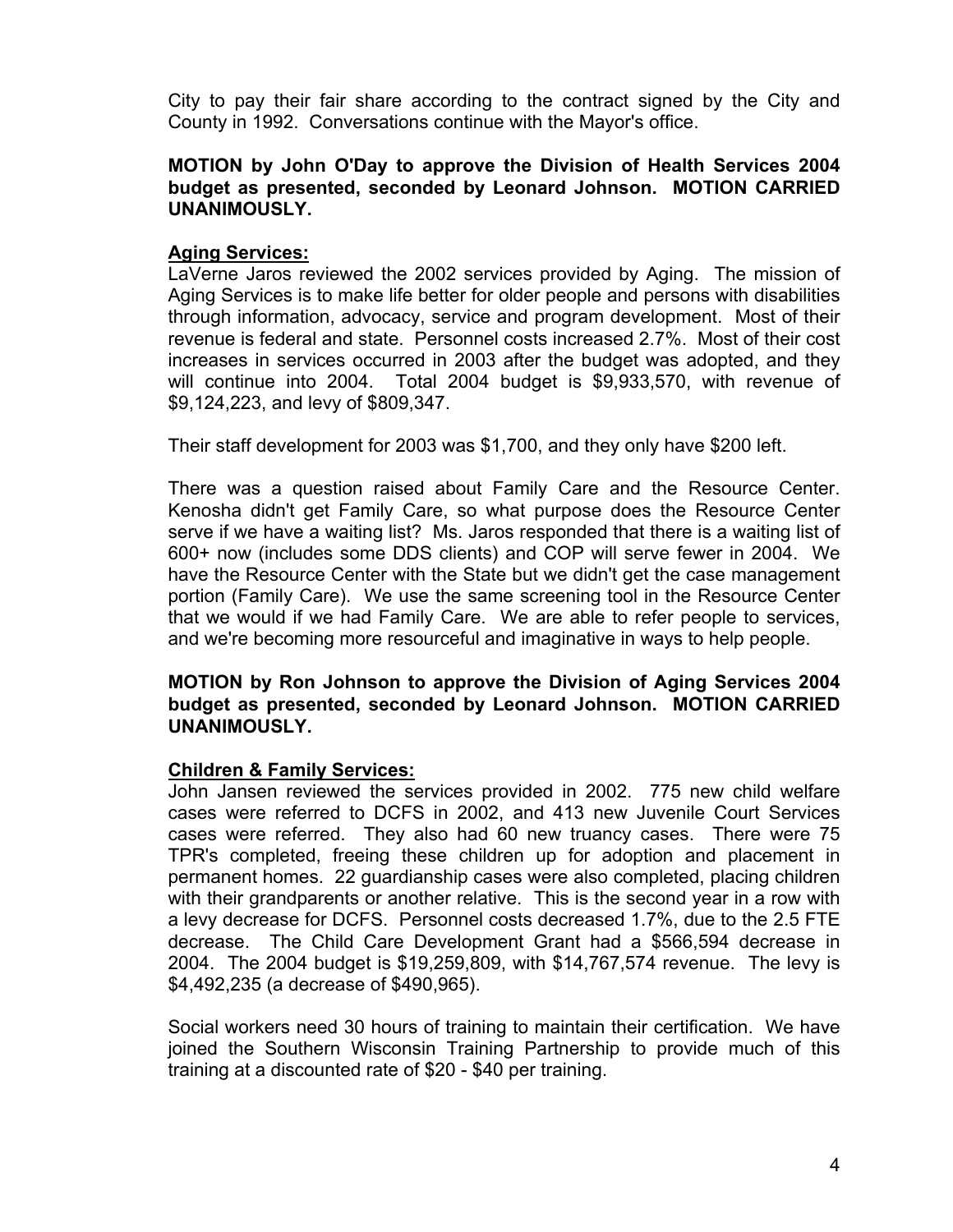City to pay their fair share according to the contract signed by the City and County in 1992. Conversations continue with the Mayor's office.

## **MOTION by John O'Day to approve the Division of Health Services 2004 budget as presented, seconded by Leonard Johnson. MOTION CARRIED UNANIMOUSLY.**

# **Aging Services:**

LaVerne Jaros reviewed the 2002 services provided by Aging. The mission of Aging Services is to make life better for older people and persons with disabilities through information, advocacy, service and program development. Most of their revenue is federal and state. Personnel costs increased 2.7%. Most of their cost increases in services occurred in 2003 after the budget was adopted, and they will continue into 2004. Total 2004 budget is \$9,933,570, with revenue of \$9,124,223, and levy of \$809,347.

Their staff development for 2003 was \$1,700, and they only have \$200 left.

There was a question raised about Family Care and the Resource Center. Kenosha didn't get Family Care, so what purpose does the Resource Center serve if we have a waiting list? Ms. Jaros responded that there is a waiting list of 600+ now (includes some DDS clients) and COP will serve fewer in 2004. We have the Resource Center with the State but we didn't get the case management portion (Family Care). We use the same screening tool in the Resource Center that we would if we had Family Care. We are able to refer people to services, and we're becoming more resourceful and imaginative in ways to help people.

## **MOTION by Ron Johnson to approve the Division of Aging Services 2004 budget as presented, seconded by Leonard Johnson. MOTION CARRIED UNANIMOUSLY.**

# **Children & Family Services:**

John Jansen reviewed the services provided in 2002. 775 new child welfare cases were referred to DCFS in 2002, and 413 new Juvenile Court Services cases were referred. They also had 60 new truancy cases. There were 75 TPR's completed, freeing these children up for adoption and placement in permanent homes. 22 guardianship cases were also completed, placing children with their grandparents or another relative. This is the second year in a row with a levy decrease for DCFS. Personnel costs decreased 1.7%, due to the 2.5 FTE decrease. The Child Care Development Grant had a \$566,594 decrease in 2004. The 2004 budget is \$19,259,809, with \$14,767,574 revenue. The levy is \$4,492,235 (a decrease of \$490,965).

Social workers need 30 hours of training to maintain their certification. We have joined the Southern Wisconsin Training Partnership to provide much of this training at a discounted rate of \$20 - \$40 per training.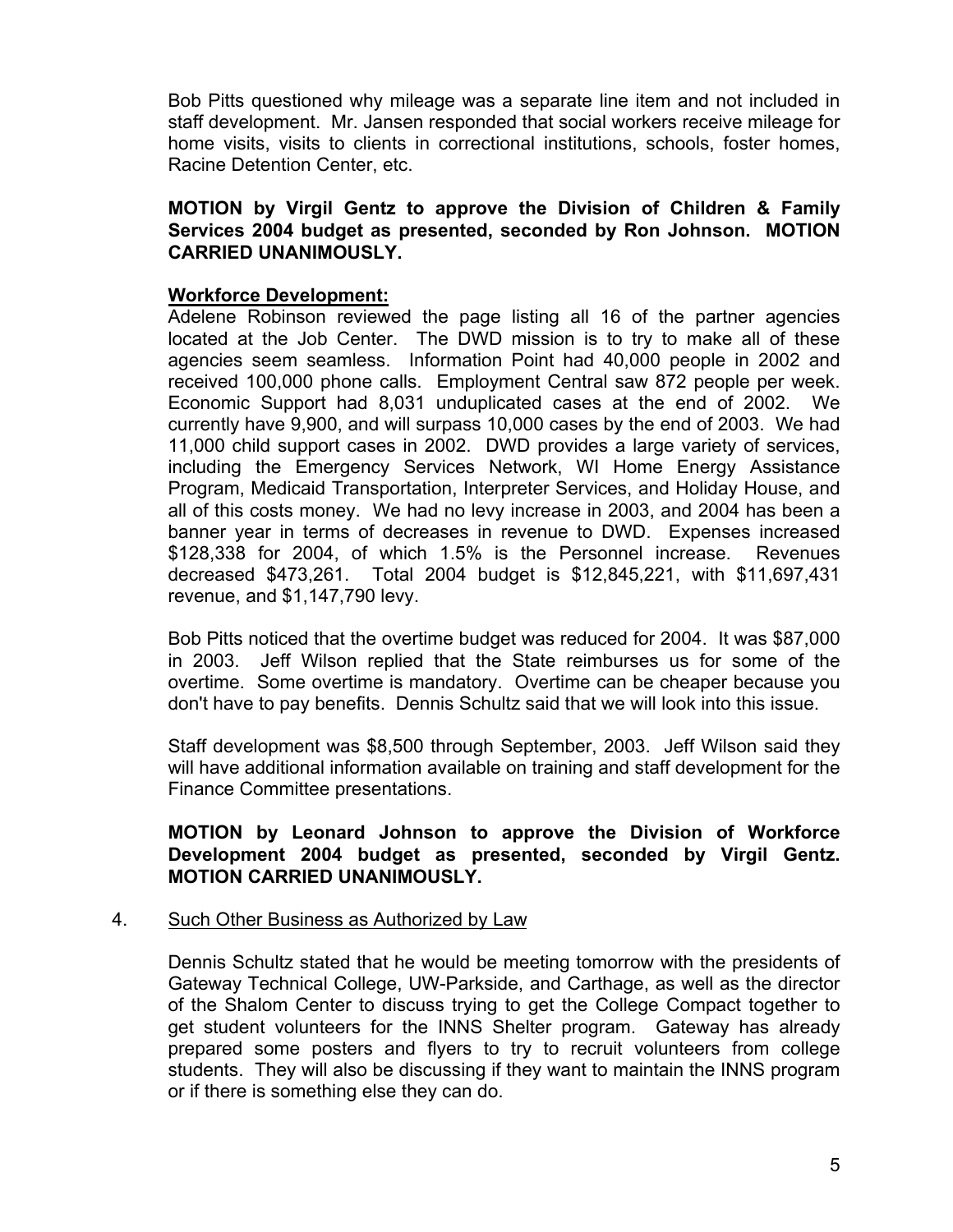Bob Pitts questioned why mileage was a separate line item and not included in staff development. Mr. Jansen responded that social workers receive mileage for home visits, visits to clients in correctional institutions, schools, foster homes, Racine Detention Center, etc.

# **MOTION by Virgil Gentz to approve the Division of Children & Family Services 2004 budget as presented, seconded by Ron Johnson. MOTION CARRIED UNANIMOUSLY.**

## **Workforce Development:**

Adelene Robinson reviewed the page listing all 16 of the partner agencies located at the Job Center. The DWD mission is to try to make all of these agencies seem seamless. Information Point had 40,000 people in 2002 and received 100,000 phone calls. Employment Central saw 872 people per week. Economic Support had 8,031 unduplicated cases at the end of 2002. We currently have 9,900, and will surpass 10,000 cases by the end of 2003. We had 11,000 child support cases in 2002. DWD provides a large variety of services, including the Emergency Services Network, WI Home Energy Assistance Program, Medicaid Transportation, Interpreter Services, and Holiday House, and all of this costs money. We had no levy increase in 2003, and 2004 has been a banner year in terms of decreases in revenue to DWD. Expenses increased \$128,338 for 2004, of which 1.5% is the Personnel increase. Revenues decreased \$473,261. Total 2004 budget is \$12,845,221, with \$11,697,431 revenue, and \$1,147,790 levy.

Bob Pitts noticed that the overtime budget was reduced for 2004. It was \$87,000 in 2003. Jeff Wilson replied that the State reimburses us for some of the overtime. Some overtime is mandatory. Overtime can be cheaper because you don't have to pay benefits. Dennis Schultz said that we will look into this issue.

Staff development was \$8,500 through September, 2003. Jeff Wilson said they will have additional information available on training and staff development for the Finance Committee presentations.

# **MOTION by Leonard Johnson to approve the Division of Workforce Development 2004 budget as presented, seconded by Virgil Gentz. MOTION CARRIED UNANIMOUSLY.**

#### 4. Such Other Business as Authorized by Law

Dennis Schultz stated that he would be meeting tomorrow with the presidents of Gateway Technical College, UW-Parkside, and Carthage, as well as the director of the Shalom Center to discuss trying to get the College Compact together to get student volunteers for the INNS Shelter program. Gateway has already prepared some posters and flyers to try to recruit volunteers from college students. They will also be discussing if they want to maintain the INNS program or if there is something else they can do.